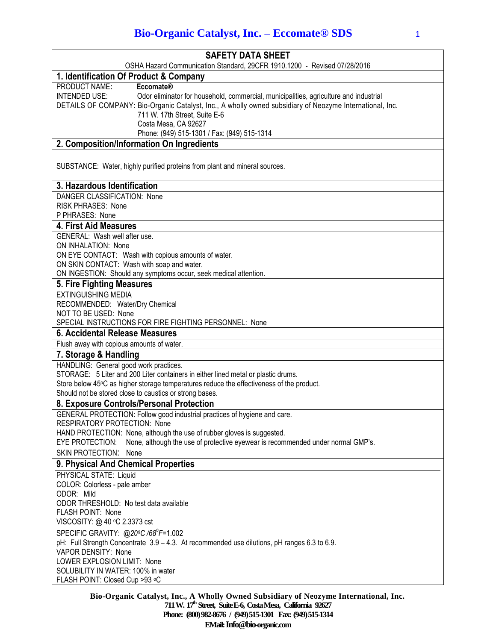| <b>SAFETY DATA SHEET</b>                                                                                      |
|---------------------------------------------------------------------------------------------------------------|
| OSHA Hazard Communication Standard, 29CFR 1910.1200 - Revised 07/28/2016                                      |
| 1. Identification Of Product & Company                                                                        |
| PRODUCT NAME:<br><b>Eccomate®</b>                                                                             |
| <b>INTENDED USE:</b><br>Odor eliminator for household, commercial, municipalities, agriculture and industrial |
| DETAILS OF COMPANY: Bio-Organic Catalyst, Inc., A wholly owned subsidiary of Neozyme International, Inc.      |
| 711 W. 17th Street, Suite E-6                                                                                 |
| Costa Mesa, CA 92627                                                                                          |
| Phone: (949) 515-1301 / Fax: (949) 515-1314                                                                   |
| 2. Composition/Information On Ingredients                                                                     |
| SUBSTANCE: Water, highly purified proteins from plant and mineral sources.                                    |
| 3. Hazardous Identification                                                                                   |
| DANGER CLASSIFICATION: None                                                                                   |
| <b>RISK PHRASES: None</b>                                                                                     |
| P PHRASES: None                                                                                               |
| <b>4. First Aid Measures</b>                                                                                  |
| GENERAL: Wash well after use.                                                                                 |
| ON INHALATION: None                                                                                           |
| ON EYE CONTACT: Wash with copious amounts of water.                                                           |
| ON SKIN CONTACT: Wash with soap and water.                                                                    |
| ON INGESTION: Should any symptoms occur, seek medical attention.                                              |
| 5. Fire Fighting Measures                                                                                     |
| <b>EXTINGUISHING MEDIA</b><br>RECOMMENDED: Water/Dry Chemical                                                 |
| NOT TO BE USED: None                                                                                          |
| SPECIAL INSTRUCTIONS FOR FIRE FIGHTING PERSONNEL: None                                                        |
| 6. Accidental Release Measures                                                                                |
| Flush away with copious amounts of water.                                                                     |
| 7. Storage & Handling                                                                                         |
| HANDLING: General good work practices.                                                                        |
| STORAGE: 5 Liter and 200 Liter containers in either lined metal or plastic drums.                             |
| Store below 45°C as higher storage temperatures reduce the effectiveness of the product.                      |
| Should not be stored close to caustics or strong bases.                                                       |
| 8. Exposure Controls/Personal Protection                                                                      |
| GENERAL PROTECTION: Follow good industrial practices of hygiene and care.                                     |
| <b>RESPIRATORY PROTECTION: None</b>                                                                           |
| HAND PROTECTION: None, although the use of rubber gloves is suggested.                                        |
| None, although the use of protective eyewear is recommended under normal GMP's.<br>EYE PROTECTION:            |
| SKIN PROTECTION: None                                                                                         |
| 9. Physical And Chemical Properties                                                                           |
| PHYSICAL STATE: Liquid<br>COLOR: Colorless - pale amber                                                       |
| ODOR: Mild                                                                                                    |
| ODOR THRESHOLD: No test data available                                                                        |
| FLASH POINT: None                                                                                             |
| VISCOSITY: @ 40 °C 2.3373 cst                                                                                 |
| SPECIFIC GRAVITY: @20°C /68°F=1.002                                                                           |
| pH: Full Strength Concentrate 3.9 - 4.3. At recommended use dilutions, pH ranges 6.3 to 6.9.                  |
| <b>VAPOR DENSITY: None</b>                                                                                    |
| LOWER EXPLOSION LIMIT: None                                                                                   |
| SOLUBILITY IN WATER: 100% in water                                                                            |
| FLASH POINT: Closed Cup >93 °C                                                                                |

**Bio-Organic Catalyst, Inc., A Wholly Owned Subsidiary of Neozyme International, Inc. 711 W. 17th Street, Suite E-6, Costa Mesa, California 92627 Phone: (800) 982-8676 / (949) 515-1301 Fax: (949) 515-1314 EMail:Info@bio-organic.com**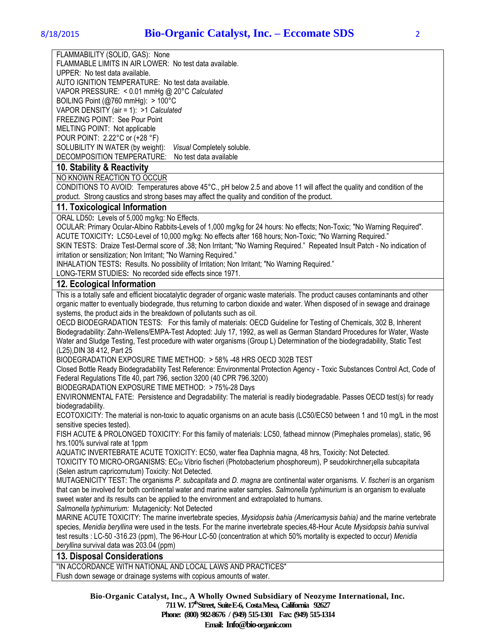FLAMMABILITY (SOLID, GAS): None

FLAMMABLE LIMITS IN AIR LOWER: No test data available. UPPER: No test data available. AUTO IGNITION TEMPERATURE: No test data available. VAPOR PRESSURE: < 0.01 mmHg @ 20°C *Calculated*

BOILING Point (@760 mmHg): > 100°C VAPOR DENSITY (air = 1): >1 *Calculated*

FREEZING POINT: See Pour Point

MELTING POINT: Not applicable

POUR POINT: 2.22°C or (+28 °F) SOLUBILITY IN WATER (by weight): *Visual* Completely soluble.

DECOMPOSITION TEMPERATURE: No test data available

## **10. Stability & Reactivity**

NO KNOWN REACTION TO OCCUR

CONDITIONS TO AVOID: Temperatures above 45°C., pH below 2.5 and above 11 will affect the quality and condition of the product. Strong caustics and strong bases may affect the quality and condition of the product.

## **11. Toxicological Information**

ORAL LD50**:** Levels of 5,000 mg/kg: No Effects.

OCULAR: Primary Ocular-Albino Rabbits-Levels of 1,000 mg/kg for 24 hours: No effects; Non-Toxic; "No Warning Required". ACUTE TOXICITY**:** LC50-Level of 10,000 mg/kg: No effects after 168 hours; Non-Toxic; "No Warning Required."

SKIN TESTS: Draize Test-Dermal score of .38; Non Irritant; "No Warning Required." Repeated Insult Patch - No indication of irritation or sensitization; Non Irritant; "No Warning Required."

INHALATION TESTS**:** Results. No possibility of Irritation; Non Irritant; "No Warning Required."

LONG-TERM STUDIES**:** No recorded side effects since 1971.

## **12. Ecological Information**

This is a totally safe and efficient biocatalytic degrader of organic waste materials. The product causes contaminants and other organic matter to eventually biodegrade, thus returning to carbon dioxide and water. When disposed of in sewage and drainage systems, the product aids in the breakdown of pollutants such as oil.

OECD BIODEGRADATION TESTS: For this family of materials: OECD Guideline for Testing of Chemicals, 302 B, Inherent Biodegradability: Zahn-Wellens/EMPA-Test Adopted: July 17, 1992, as well as German Standard Procedures for Water, Waste Water and Sludge Testing, Test procedure with water organisms (Group L) Determination of the biodegradability, Static Test (L25),DIN 38 412, Part 25

BIODEGRADATION EXPOSURE TIME METHOD: > 58% -48 HRS OECD 302B TEST

Closed Bottle Ready Biodegradability Test Reference: Environmental Protection Agency - Toxic Substances Control Act, Code of Federal Regulations Title 40, part 796, section 3200 (40 CPR 796.3200)

BIODEGRADATION EXPOSURE TIME METHOD: > 75%-28 Days

ENVIRONMENTAL FATE: Persistence and Degradability: The material is readily biodegradable. Passes OECD test(s) for ready biodegradability.

ECOTOXICITY: The material is non-toxic to aquatic organisms on an acute basis (LC50/EC50 between 1 and 10 mg/L in the most sensitive species tested).

FISH ACUTE & PROLONGED TOXICITY: For this family of materials: LC50, fathead minnow (Pimephales promelas), static, 96 hrs.100% survival rate at 1ppm

AQUATIC INVERTEBRATE ACUTE TOXICITY: EC50, water flea Daphnia magna, 48 hrs, Toxicity: Not Detected.

TOXICITY TO MICRO-ORGANISMS: EC<sup>50</sup> Vibrio fischeri (Photobacterium phosphoreum), P seudokirchner¡ella subcapitata (Selen astrum capricornutum) Toxicity: Not Detected.

MUTAGENICITY TEST: The organisms *P. subcapitata* and *D. magna* are continental water organisms. *V. fischeri* is an organism that can be involved for both continental water and marine water samples. *Salmonella typhimurium* is an organism to evaluate sweet water and its results can be applied to the environment and extrapolated to humans.

*Salmonella typhimurium:* Mutagenicity: Not Detected

MARINE ACUTE TOXICITY: The marine invertebrate species, *Mysidopsis bahia (Americamysis bahia)* and the marine vertebrate species, *Menidia beryllina* were used in the tests. For the marine invertebrate species,48-Hour Acute *Mysidopsis bahia* survival test results : LC-50 -316.23 (ppm), The 96-Hour LC-50 (concentration at which 50% mortality is expected to occur) *Menidia beryllina* survival data was 203.04 (ppm)

## **13. Disposal Considerations**

"IN ACCORDANCE WITH NATIONAL AND LOCAL LAWS AND PRACTICES"

Flush down sewage or drainage systems with copious amounts of water.

**Bio-Organic Catalyst, Inc., A Wholly Owned Subsidiary of Neozyme International, Inc. 711 W. 17th Street, Suite E-6, Costa Mesa, California 92627 Phone: (800) 982-8676 / (949) 515-1301 Fax: (949) 515-1314 Email: Info@bio-organic.com**